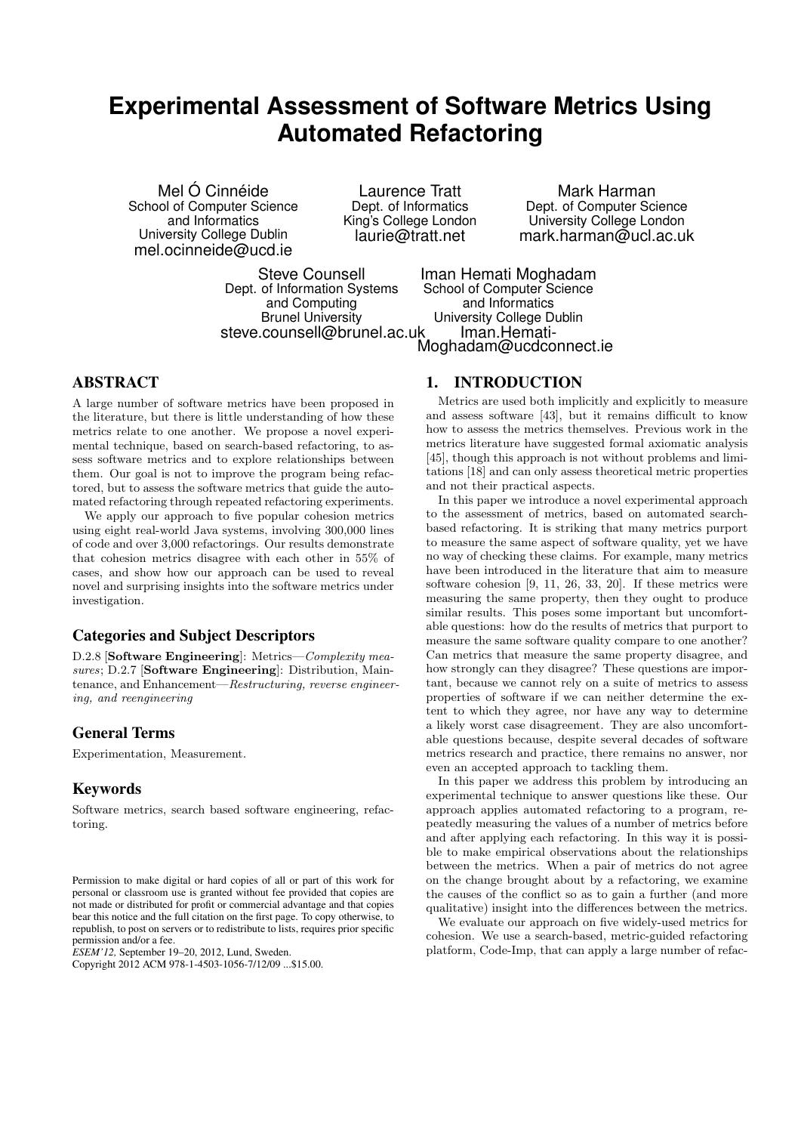# **Experimental Assessment of Software Metrics Using Automated Refactoring**

Mel Ó Cinnéide School of Computer Science and Informatics University College Dublin mel.ocinneide@ucd.ie

Laurence Tratt Dept. of Informatics King's College London laurie@tratt.net

Mark Harman Dept. of Computer Science University College London mark.harman@ucl.ac.uk

Steve Counsell Dept. of Information Systems and Computing Brunel University steve.counsell@brunel.ac.uk Iman Hemati Moghadam School of Computer Science and Informatics University College Dublin Iman.Hemati-

# Moghadam@ucdconnect.ie

# ABSTRACT

A large number of software metrics have been proposed in the literature, but there is little understanding of how these metrics relate to one another. We propose a novel experimental technique, based on search-based refactoring, to assess software metrics and to explore relationships between them. Our goal is not to improve the program being refactored, but to assess the software metrics that guide the automated refactoring through repeated refactoring experiments.

We apply our approach to five popular cohesion metrics using eight real-world Java systems, involving 300,000 lines of code and over 3,000 refactorings. Our results demonstrate that cohesion metrics disagree with each other in 55% of cases, and show how our approach can be used to reveal novel and surprising insights into the software metrics under investigation.

# Categories and Subject Descriptors

D.2.8 [Software Engineering]: Metrics—Complexity measures; D.2.7 [Software Engineering]: Distribution, Maintenance, and Enhancement—Restructuring, reverse engineering, and reengineering

## General Terms

Experimentation, Measurement.

## Keywords

Software metrics, search based software engineering, refactoring.

*ESEM'12,* September 19–20, 2012, Lund, Sweden.

Copyright 2012 ACM 978-1-4503-1056-7/12/09 ...\$15.00.

## 1. INTRODUCTION

Metrics are used both implicitly and explicitly to measure and assess software [43], but it remains difficult to know how to assess the metrics themselves. Previous work in the metrics literature have suggested formal axiomatic analysis [45], though this approach is not without problems and limitations [18] and can only assess theoretical metric properties and not their practical aspects.

In this paper we introduce a novel experimental approach to the assessment of metrics, based on automated searchbased refactoring. It is striking that many metrics purport to measure the same aspect of software quality, yet we have no way of checking these claims. For example, many metrics have been introduced in the literature that aim to measure software cohesion [9, 11, 26, 33, 20]. If these metrics were measuring the same property, then they ought to produce similar results. This poses some important but uncomfortable questions: how do the results of metrics that purport to measure the same software quality compare to one another? Can metrics that measure the same property disagree, and how strongly can they disagree? These questions are important, because we cannot rely on a suite of metrics to assess properties of software if we can neither determine the extent to which they agree, nor have any way to determine a likely worst case disagreement. They are also uncomfortable questions because, despite several decades of software metrics research and practice, there remains no answer, nor even an accepted approach to tackling them.

In this paper we address this problem by introducing an experimental technique to answer questions like these. Our approach applies automated refactoring to a program, repeatedly measuring the values of a number of metrics before and after applying each refactoring. In this way it is possible to make empirical observations about the relationships between the metrics. When a pair of metrics do not agree on the change brought about by a refactoring, we examine the causes of the conflict so as to gain a further (and more qualitative) insight into the differences between the metrics.

We evaluate our approach on five widely-used metrics for cohesion. We use a search-based, metric-guided refactoring platform, Code-Imp, that can apply a large number of refac-

Permission to make digital or hard copies of all or part of this work for personal or classroom use is granted without fee provided that copies are not made or distributed for profit or commercial advantage and that copies bear this notice and the full citation on the first page. To copy otherwise, to republish, to post on servers or to redistribute to lists, requires prior specific permission and/or a fee.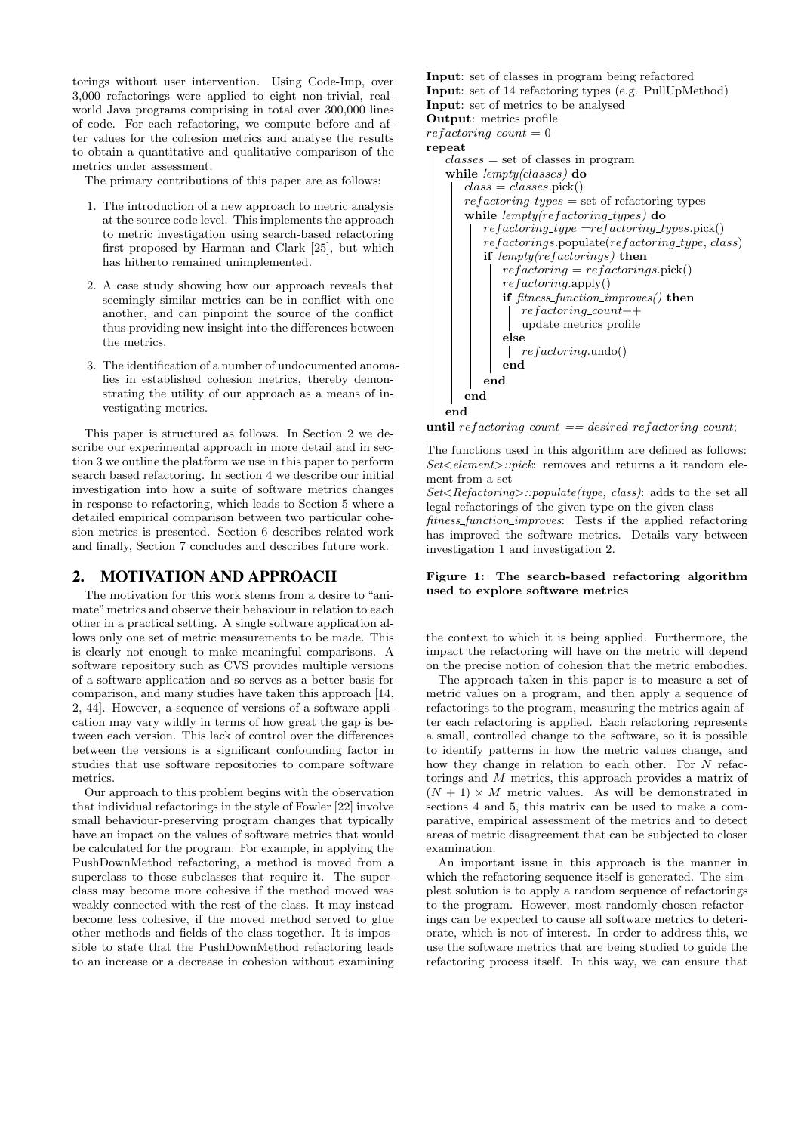torings without user intervention. Using Code-Imp, over 3,000 refactorings were applied to eight non-trivial, realworld Java programs comprising in total over 300,000 lines of code. For each refactoring, we compute before and after values for the cohesion metrics and analyse the results to obtain a quantitative and qualitative comparison of the metrics under assessment.

The primary contributions of this paper are as follows:

- 1. The introduction of a new approach to metric analysis at the source code level. This implements the approach to metric investigation using search-based refactoring first proposed by Harman and Clark [25], but which has hitherto remained unimplemented.
- 2. A case study showing how our approach reveals that seemingly similar metrics can be in conflict with one another, and can pinpoint the source of the conflict thus providing new insight into the differences between the metrics.
- 3. The identification of a number of undocumented anomalies in established cohesion metrics, thereby demonstrating the utility of our approach as a means of investigating metrics.

This paper is structured as follows. In Section 2 we describe our experimental approach in more detail and in section 3 we outline the platform we use in this paper to perform search based refactoring. In section 4 we describe our initial investigation into how a suite of software metrics changes in response to refactoring, which leads to Section 5 where a detailed empirical comparison between two particular cohesion metrics is presented. Section 6 describes related work and finally, Section 7 concludes and describes future work.

# 2. MOTIVATION AND APPROACH

The motivation for this work stems from a desire to "animate"metrics and observe their behaviour in relation to each other in a practical setting. A single software application allows only one set of metric measurements to be made. This is clearly not enough to make meaningful comparisons. A software repository such as CVS provides multiple versions of a software application and so serves as a better basis for comparison, and many studies have taken this approach [14, 2, 44]. However, a sequence of versions of a software application may vary wildly in terms of how great the gap is between each version. This lack of control over the differences between the versions is a significant confounding factor in studies that use software repositories to compare software metrics.

Our approach to this problem begins with the observation that individual refactorings in the style of Fowler [22] involve small behaviour-preserving program changes that typically have an impact on the values of software metrics that would be calculated for the program. For example, in applying the PushDownMethod refactoring, a method is moved from a superclass to those subclasses that require it. The superclass may become more cohesive if the method moved was weakly connected with the rest of the class. It may instead become less cohesive, if the moved method served to glue other methods and fields of the class together. It is impossible to state that the PushDownMethod refactoring leads to an increase or a decrease in cohesion without examining Input: set of classes in program being refactored Input: set of 14 refactoring types (e.g. PullUpMethod) Input: set of metrics to be analysed Output: metrics profile  $refactoring\_count = 0$ repeat  $classes = set of classes in program$ while  $\textit{lempty}(classes)$  do  $class = classes.\text{pick}()$  $refactoring\_tures = set of refactoring$  types while  $\textit{lempty}(\textit{refactoring\_types})$  do  $refactoring\_type =refactoring\_types.pick()$  $refactoring.$ populate $(refactoring\_type, \text{class})$ if  $leq$  !empty(refactorings) then  $refactoring = refactoring.pick()$ ref actoring.apply() if  $fitness\_function\_improves()$  then  $refactoring\_count++$ update metrics profile else  $refactoring.$ undo() end end end end

until refactoring\_count  $==$  desired\_refactoring\_count;

The functions used in this algorithm are defined as follows:  $Set \le element \ge : :pick:$  removes and returns a it random element from a set

 $Set < Refactoring > :: populate(type, class):$  adds to the set all legal refactorings of the given type on the given class

fitness function improves: Tests if the applied refactoring has improved the software metrics. Details vary between investigation 1 and investigation 2.

Figure 1: The search-based refactoring algorithm used to explore software metrics

the context to which it is being applied. Furthermore, the impact the refactoring will have on the metric will depend on the precise notion of cohesion that the metric embodies.

The approach taken in this paper is to measure a set of metric values on a program, and then apply a sequence of refactorings to the program, measuring the metrics again after each refactoring is applied. Each refactoring represents a small, controlled change to the software, so it is possible to identify patterns in how the metric values change, and how they change in relation to each other. For N refactorings and M metrics, this approach provides a matrix of  $(N + 1) \times M$  metric values. As will be demonstrated in sections 4 and 5, this matrix can be used to make a comparative, empirical assessment of the metrics and to detect areas of metric disagreement that can be subjected to closer examination.

An important issue in this approach is the manner in which the refactoring sequence itself is generated. The simplest solution is to apply a random sequence of refactorings to the program. However, most randomly-chosen refactorings can be expected to cause all software metrics to deteriorate, which is not of interest. In order to address this, we use the software metrics that are being studied to guide the refactoring process itself. In this way, we can ensure that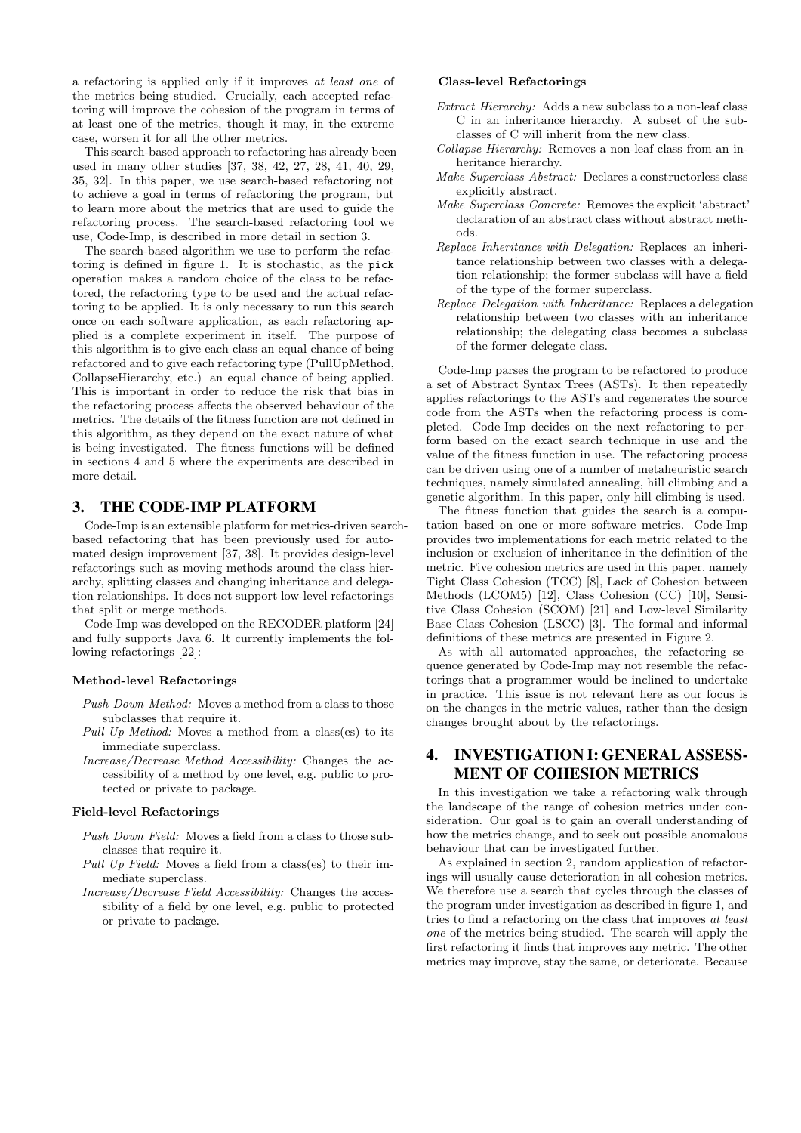a refactoring is applied only if it improves at least one of the metrics being studied. Crucially, each accepted refactoring will improve the cohesion of the program in terms of at least one of the metrics, though it may, in the extreme case, worsen it for all the other metrics.

This search-based approach to refactoring has already been used in many other studies [37, 38, 42, 27, 28, 41, 40, 29, 35, 32]. In this paper, we use search-based refactoring not to achieve a goal in terms of refactoring the program, but to learn more about the metrics that are used to guide the refactoring process. The search-based refactoring tool we use, Code-Imp, is described in more detail in section 3.

The search-based algorithm we use to perform the refactoring is defined in figure 1. It is stochastic, as the pick operation makes a random choice of the class to be refactored, the refactoring type to be used and the actual refactoring to be applied. It is only necessary to run this search once on each software application, as each refactoring applied is a complete experiment in itself. The purpose of this algorithm is to give each class an equal chance of being refactored and to give each refactoring type (PullUpMethod, CollapseHierarchy, etc.) an equal chance of being applied. This is important in order to reduce the risk that bias in the refactoring process affects the observed behaviour of the metrics. The details of the fitness function are not defined in this algorithm, as they depend on the exact nature of what is being investigated. The fitness functions will be defined in sections 4 and 5 where the experiments are described in more detail.

# 3. THE CODE-IMP PLATFORM

Code-Imp is an extensible platform for metrics-driven searchbased refactoring that has been previously used for automated design improvement [37, 38]. It provides design-level refactorings such as moving methods around the class hierarchy, splitting classes and changing inheritance and delegation relationships. It does not support low-level refactorings that split or merge methods.

Code-Imp was developed on the RECODER platform [24] and fully supports Java 6. It currently implements the following refactorings [22]:

#### Method-level Refactorings

- Push Down Method: Moves a method from a class to those subclasses that require it.
- Pull Up Method: Moves a method from a class(es) to its immediate superclass.
- Increase/Decrease Method Accessibility: Changes the accessibility of a method by one level, e.g. public to protected or private to package.

#### Field-level Refactorings

- Push Down Field: Moves a field from a class to those subclasses that require it.
- Pull Up Field: Moves a field from a class(es) to their immediate superclass.
- Increase/Decrease Field Accessibility: Changes the accessibility of a field by one level, e.g. public to protected or private to package.

#### Class-level Refactorings

- Extract Hierarchy: Adds a new subclass to a non-leaf class C in an inheritance hierarchy. A subset of the subclasses of C will inherit from the new class.
- Collapse Hierarchy: Removes a non-leaf class from an inheritance hierarchy.
- Make Superclass Abstract: Declares a constructorless class explicitly abstract.
- Make Superclass Concrete: Removes the explicit 'abstract' declaration of an abstract class without abstract methods.
- Replace Inheritance with Delegation: Replaces an inheritance relationship between two classes with a delegation relationship; the former subclass will have a field of the type of the former superclass.
- Replace Delegation with Inheritance: Replaces a delegation relationship between two classes with an inheritance relationship; the delegating class becomes a subclass of the former delegate class.

Code-Imp parses the program to be refactored to produce a set of Abstract Syntax Trees (ASTs). It then repeatedly applies refactorings to the ASTs and regenerates the source code from the ASTs when the refactoring process is completed. Code-Imp decides on the next refactoring to perform based on the exact search technique in use and the value of the fitness function in use. The refactoring process can be driven using one of a number of metaheuristic search techniques, namely simulated annealing, hill climbing and a genetic algorithm. In this paper, only hill climbing is used.

The fitness function that guides the search is a computation based on one or more software metrics. Code-Imp provides two implementations for each metric related to the inclusion or exclusion of inheritance in the definition of the metric. Five cohesion metrics are used in this paper, namely Tight Class Cohesion (TCC) [8], Lack of Cohesion between Methods (LCOM5) [12], Class Cohesion (CC) [10], Sensitive Class Cohesion (SCOM) [21] and Low-level Similarity Base Class Cohesion (LSCC) [3]. The formal and informal definitions of these metrics are presented in Figure 2.

As with all automated approaches, the refactoring sequence generated by Code-Imp may not resemble the refactorings that a programmer would be inclined to undertake in practice. This issue is not relevant here as our focus is on the changes in the metric values, rather than the design changes brought about by the refactorings.

# 4. INVESTIGATION I: GENERAL ASSESS-MENT OF COHESION METRICS

In this investigation we take a refactoring walk through the landscape of the range of cohesion metrics under consideration. Our goal is to gain an overall understanding of how the metrics change, and to seek out possible anomalous behaviour that can be investigated further.

As explained in section 2, random application of refactorings will usually cause deterioration in all cohesion metrics. We therefore use a search that cycles through the classes of the program under investigation as described in figure 1, and tries to find a refactoring on the class that improves at least one of the metrics being studied. The search will apply the first refactoring it finds that improves any metric. The other metrics may improve, stay the same, or deteriorate. Because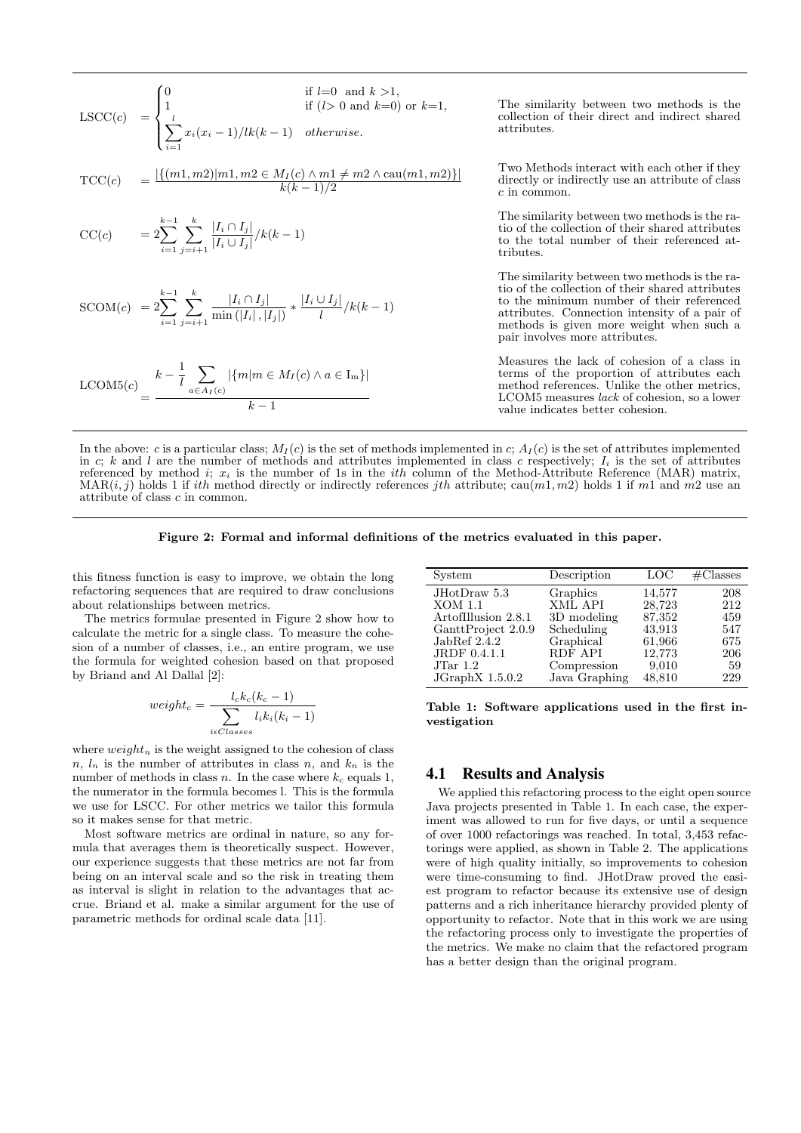$$
\begin{aligned}\n\text{LSCC}(c) &= \begin{cases}\n0 & \text{if } l=0 \text{ and } k > 1, \\
1 & \text{if } (l > 0 \text{ and } k=0) \text{ or } k=1, \\
\sum_{i=1}^{l} x_i (x_i - 1) / lk(k-1) & \text{otherwise.} \\
\text{TCC}(c) &= \frac{|\{(m1, m2)|m1, m2 \in M_I(c) \land m1 \neq m2 \land \text{cau}(m1, m2)\}|}{k(k-1)/2} \\
\text{CC}(c) &= 2 \sum_{i=1}^{k-1} \sum_{j=i+1}^{k} \frac{|I_i \cap I_j|}{|I_i \cup I_j|} / k(k-1) \\
\text{SCOM}(c) &= 2 \sum_{i=1}^{k-1} \sum_{j=i+1}^{k} \frac{|I_i \cap I_j|}{\min(|I_i|, |I_j|)} * \frac{|I_i \cup I_j|}{l} / k(k-1) \\
\text{LCOM5}(c) &= \frac{k - \frac{1}{l} \sum_{a \in A_I(c)} |\{m | m \in M_I(c) \land a \in I_m\}|}{l} \n\end{aligned}
$$

 $k-1$ 

The similarity between two methods is the collection of their direct and indirect shared attributes.

Two Methods interact with each other if they directly or indirectly use an attribute of class c in common.

The similarity between two methods is the ratio of the collection of their shared attributes to the total number of their referenced attributes.

The similarity between two methods is the ratio of the collection of their shared attributes to the minimum number of their referenced attributes. Connection intensity of a pair of methods is given more weight when such a pair involves more attributes.

Measures the lack of cohesion of a class in terms of the proportion of attributes each method references. Unlike the other metrics, LCOM5 measures lack of cohesion, so a lower value indicates better cohesion.

In the above: c is a particular class;  $M_I(c)$  is the set of methods implemented in c;  $A_I(c)$  is the set of attributes implemented in c; k and l are the number of methods and attributes implemented in class c respectively;  $I_i$  is the set of attributes referenced by method i;  $x_i$  is the number of 1s in the *ith* column of the Method-Attribute Reference (MAR) matrix,  $\text{MAR}(i, j)$  holds 1 if ith method directly or indirectly references jth attribute; cau $(m1, m2)$  holds 1 if m1 and m2 use an attribute of class c in common.

#### Figure 2: Formal and informal definitions of the metrics evaluated in this paper.

this fitness function is easy to improve, we obtain the long refactoring sequences that are required to draw conclusions about relationships between metrics.

The metrics formulae presented in Figure 2 show how to calculate the metric for a single class. To measure the cohesion of a number of classes, i.e., an entire program, we use the formula for weighted cohesion based on that proposed by Briand and Al Dallal [2]:

$$
weight_c = \frac{l_c k_c (k_c - 1)}{\sum_{i \in Classes} l_i k_i (k_i - 1)}
$$

where  $weight_n$  is the weight assigned to the cohesion of class n,  $l_n$  is the number of attributes in class n, and  $k_n$  is the number of methods in class n. In the case where  $k_c$  equals 1, the numerator in the formula becomes l. This is the formula we use for LSCC. For other metrics we tailor this formula so it makes sense for that metric.

Most software metrics are ordinal in nature, so any formula that averages them is theoretically suspect. However, our experience suggests that these metrics are not far from being on an interval scale and so the risk in treating them as interval is slight in relation to the advantages that accrue. Briand et al. make a similar argument for the use of parametric methods for ordinal scale data [11].

| System              | Description   | <b>LOC</b> | $\#\text{Classes}$ |
|---------------------|---------------|------------|--------------------|
| JHotDraw 5.3        | Graphics      | 14,577     | 208                |
| XOM 1.1             | XML API       | 28,723     | 212                |
| ArtofIllusion 2.8.1 | 3D modeling   | 87,352     | 459                |
| GanttProject 2.0.9  | Scheduling    | 43,913     | 547                |
| JabRef 2.4.2        | Graphical     | 61,966     | 675                |
| JRDF 0.4.1.1        | RDF API       | 12,773     | 206                |
| J $\text{Tar } 1.2$ | Compression   | 9,010      | 59                 |
| $JGraphX$ 1.5.0.2   | Java Graphing | 48,810     | 229                |

Table 1: Software applications used in the first investigation

#### 4.1 Results and Analysis

We applied this refactoring process to the eight open source Java projects presented in Table 1. In each case, the experiment was allowed to run for five days, or until a sequence of over 1000 refactorings was reached. In total, 3,453 refactorings were applied, as shown in Table 2. The applications were of high quality initially, so improvements to cohesion were time-consuming to find. JHotDraw proved the easiest program to refactor because its extensive use of design patterns and a rich inheritance hierarchy provided plenty of opportunity to refactor. Note that in this work we are using the refactoring process only to investigate the properties of the metrics. We make no claim that the refactored program has a better design than the original program.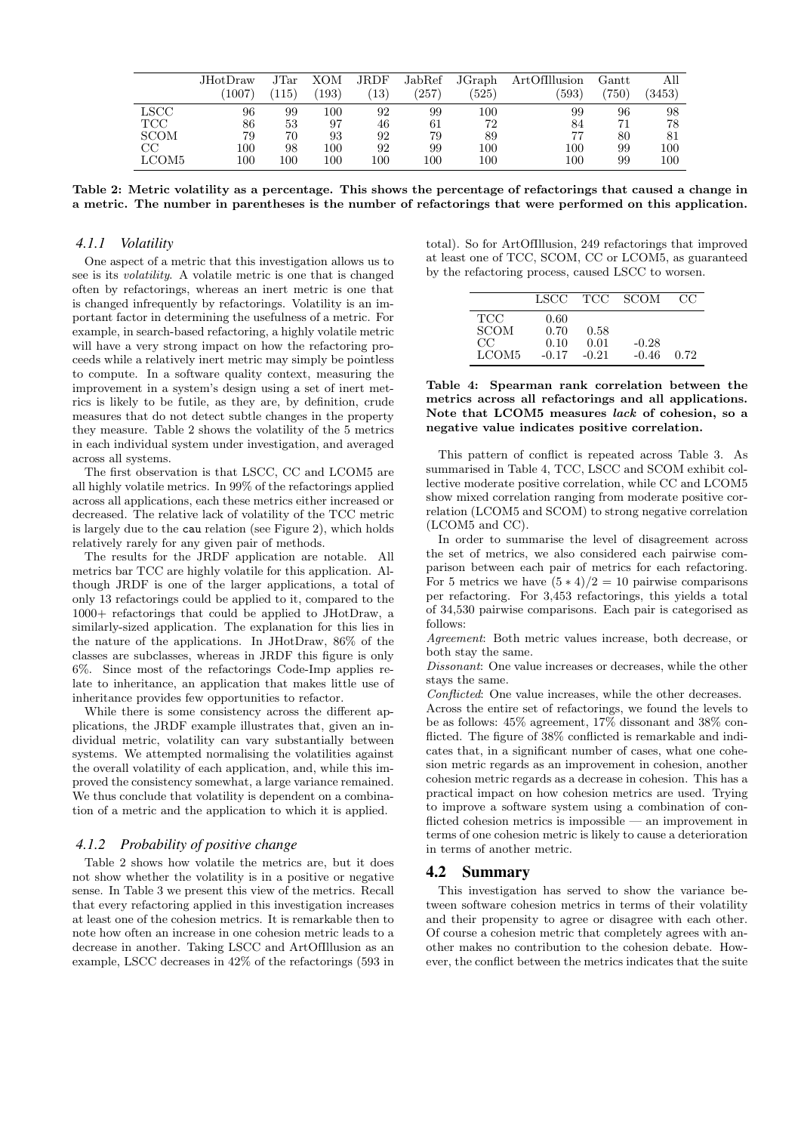|             | JHotDraw | JTar | XOM  | JRDF | JabRef | JGraph | ArtOfIllusion | Gantt                   | All    |
|-------------|----------|------|------|------|--------|--------|---------------|-------------------------|--------|
|             | 1007     | 115) | 193) | 13)  | (257)  | (525)  | (593)         | $^{\prime}750^{\prime}$ | (3453) |
| <b>LSCC</b> | 96       | 99   | 100  | 92   | 99     | 100    | 99            | 96                      | 98     |
| <b>TCC</b>  | 86       | 53   | 97   | 46   | 61     | 72     | 84            |                         | 78     |
| SCOM        | 79       | 70   | 93   | 92   | 79     | 89     | 77            | 80                      | 81     |
| CС          | 100      | 98   | 100  | 92   | 99     | 100    | 100           | 99                      | 100    |
| LCOM5       | 100      | 100  | 100  | 100  | LOO    | 100    | 100           | 99                      | 100    |

Table 2: Metric volatility as a percentage. This shows the percentage of refactorings that caused a change in a metric. The number in parentheses is the number of refactorings that were performed on this application.

#### *4.1.1 Volatility*

One aspect of a metric that this investigation allows us to see is its volatility. A volatile metric is one that is changed often by refactorings, whereas an inert metric is one that is changed infrequently by refactorings. Volatility is an important factor in determining the usefulness of a metric. For example, in search-based refactoring, a highly volatile metric will have a very strong impact on how the refactoring proceeds while a relatively inert metric may simply be pointless to compute. In a software quality context, measuring the improvement in a system's design using a set of inert metrics is likely to be futile, as they are, by definition, crude measures that do not detect subtle changes in the property they measure. Table 2 shows the volatility of the 5 metrics in each individual system under investigation, and averaged across all systems.

The first observation is that LSCC, CC and LCOM5 are all highly volatile metrics. In 99% of the refactorings applied across all applications, each these metrics either increased or decreased. The relative lack of volatility of the TCC metric is largely due to the cau relation (see Figure 2), which holds relatively rarely for any given pair of methods.

The results for the JRDF application are notable. All metrics bar TCC are highly volatile for this application. Although JRDF is one of the larger applications, a total of only 13 refactorings could be applied to it, compared to the 1000+ refactorings that could be applied to JHotDraw, a similarly-sized application. The explanation for this lies in the nature of the applications. In JHotDraw, 86% of the classes are subclasses, whereas in JRDF this figure is only 6%. Since most of the refactorings Code-Imp applies relate to inheritance, an application that makes little use of inheritance provides few opportunities to refactor.

While there is some consistency across the different applications, the JRDF example illustrates that, given an individual metric, volatility can vary substantially between systems. We attempted normalising the volatilities against the overall volatility of each application, and, while this improved the consistency somewhat, a large variance remained. We thus conclude that volatility is dependent on a combination of a metric and the application to which it is applied.

#### *4.1.2 Probability of positive change*

Table 2 shows how volatile the metrics are, but it does not show whether the volatility is in a positive or negative sense. In Table 3 we present this view of the metrics. Recall that every refactoring applied in this investigation increases at least one of the cohesion metrics. It is remarkable then to note how often an increase in one cohesion metric leads to a decrease in another. Taking LSCC and ArtOfIllusion as an example, LSCC decreases in 42% of the refactorings (593 in

total). So for ArtOfIllusion, 249 refactorings that improved at least one of TCC, SCOM, CC or LCOM5, as guaranteed by the refactoring process, caused LSCC to worsen.

|                           | LSCC            | TCC             | <b>SCOM</b>        | CC   |
|---------------------------|-----------------|-----------------|--------------------|------|
| <b>TCC</b><br><b>SCOM</b> | 0.60<br>0.70    | 0.58            |                    |      |
| CC<br>LCOM5               | 0.10<br>$-0.17$ | 0.01<br>$-0.21$ | $-0.28$<br>$-0.46$ | 0.72 |

Table 4: Spearman rank correlation between the metrics across all refactorings and all applications. Note that LCOM5 measures lack of cohesion, so a negative value indicates positive correlation.

This pattern of conflict is repeated across Table 3. As summarised in Table 4, TCC, LSCC and SCOM exhibit collective moderate positive correlation, while CC and LCOM5 show mixed correlation ranging from moderate positive correlation (LCOM5 and SCOM) to strong negative correlation (LCOM5 and CC).

In order to summarise the level of disagreement across the set of metrics, we also considered each pairwise comparison between each pair of metrics for each refactoring. For 5 metrics we have  $(5 * 4)/2 = 10$  pairwise comparisons per refactoring. For 3,453 refactorings, this yields a total of 34,530 pairwise comparisons. Each pair is categorised as follows:

Agreement: Both metric values increase, both decrease, or both stay the same.

Dissonant: One value increases or decreases, while the other stays the same.

Conflicted: One value increases, while the other decreases. Across the entire set of refactorings, we found the levels to be as follows: 45% agreement, 17% dissonant and 38% conflicted. The figure of  $38\%$  conflicted is remarkable and indicates that, in a significant number of cases, what one cohesion metric regards as an improvement in cohesion, another cohesion metric regards as a decrease in cohesion. This has a practical impact on how cohesion metrics are used. Trying to improve a software system using a combination of conflicted cohesion metrics is impossible — an improvement in terms of one cohesion metric is likely to cause a deterioration in terms of another metric.

#### 4.2 Summary

This investigation has served to show the variance between software cohesion metrics in terms of their volatility and their propensity to agree or disagree with each other. Of course a cohesion metric that completely agrees with another makes no contribution to the cohesion debate. However, the conflict between the metrics indicates that the suite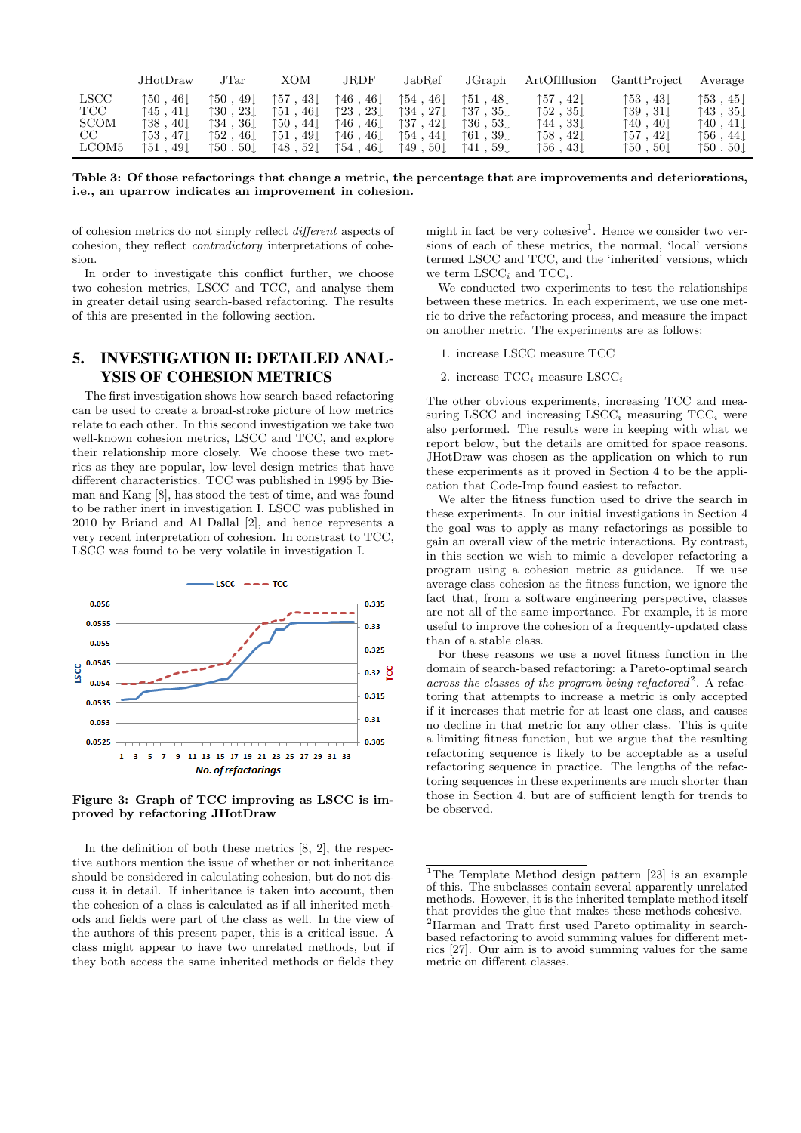| $_{\mathrm{LSCC}}$<br>46<br>↑57<br>421<br>491<br>$^{\dagger}51$<br>$153$ .<br>$153$ .<br>150.<br>-431<br>↑46<br>$-46$ .<br>46.<br>↑50⊹<br>↑57<br>$154$ .<br>48.<br>43<br><b>TCC</b><br>$123$ .<br>↑34<br>$\uparrow$ 52, 35.1<br><b>23</b> .<br>↑30<br><b>23</b> .<br>27 <sub>1</sub><br>↑37<br>139, 311<br>$^{\text{+51}}$<br>46.<br>$145$ .<br>35.1<br>41.<br><b>SCOM</b><br>↑36<br>↑37<br>138<br>36.I<br>$134$ .<br>↑50<br>$\uparrow$ 44, 33<br>-40.<br>-44.<br>-461<br>$42\perp$<br>53.1<br>$^{\text{146}}$ .<br>$^{\uparrow}40$ .<br>-40.<br>$\rm CC$<br>$^{\uparrow}58$ ,<br>$^{\uparrow}56$ .<br>153<br>$^{\text{+51}}$<br>49.<br>$154$ .<br>44.<br>↑61<br>-42.<br>-471<br>46.<br>↑46⊹<br>46.<br>39.1<br>157<br>$^{\dagger52}$ .<br>421 | JHotDraw | JTar | хом | JRDF | JabRef | JGraph | ArtOfIllusion | GanttProject | Average                                                                                      |
|-----------------------------------------------------------------------------------------------------------------------------------------------------------------------------------------------------------------------------------------------------------------------------------------------------------------------------------------------------------------------------------------------------------------------------------------------------------------------------------------------------------------------------------------------------------------------------------------------------------------------------------------------------------------------------------------------------------------------------------------------|----------|------|-----|------|--------|--------|---------------|--------------|----------------------------------------------------------------------------------------------|
| LCOM <sub>5</sub><br>$^{\dagger}56$ .<br>$^{\text{+51}}$<br>$^{\text{+48}}$ .<br>-521<br>$154$ .<br>-461<br>$149$ .<br>50.<br>50.<br>↑41<br>-431<br>-491<br>$^{\text{150}}$ .<br>-591<br>↑50⊹<br>.50 <sub>1</sub>                                                                                                                                                                                                                                                                                                                                                                                                                                                                                                                             |          |      |     |      |        |        |               |              | 45 L<br>$\uparrow$ 43, 35<br>$\uparrow$ 40, 411<br>, 44  <br>$\uparrow 50$ , $50 \downarrow$ |

Table 3: Of those refactorings that change a metric, the percentage that are improvements and deteriorations, i.e., an uparrow indicates an improvement in cohesion.

of cohesion metrics do not simply reflect different aspects of cohesion, they reflect contradictory interpretations of cohesion.

In order to investigate this conflict further, we choose two cohesion metrics, LSCC and TCC, and analyse them in greater detail using search-based refactoring. The results of this are presented in the following section.

# 5. INVESTIGATION II: DETAILED ANAL-YSIS OF COHESION METRICS

The first investigation shows how search-based refactoring can be used to create a broad-stroke picture of how metrics relate to each other. In this second investigation we take two well-known cohesion metrics, LSCC and TCC, and explore their relationship more closely. We choose these two metrics as they are popular, low-level design metrics that have different characteristics. TCC was published in 1995 by Bieman and Kang [8], has stood the test of time, and was found to be rather inert in investigation I. LSCC was published in 2010 by Briand and Al Dallal [2], and hence represents a very recent interpretation of cohesion. In constrast to TCC, LSCC was found to be very volatile in investigation I.



Figure 3: Graph of TCC improving as LSCC is improved by refactoring JHotDraw

In the definition of both these metrics [8, 2], the respective authors mention the issue of whether or not inheritance should be considered in calculating cohesion, but do not discuss it in detail. If inheritance is taken into account, then the cohesion of a class is calculated as if all inherited methods and fields were part of the class as well. In the view of the authors of this present paper, this is a critical issue. A class might appear to have two unrelated methods, but if they both access the same inherited methods or fields they

might in fact be very cohesive<sup>1</sup>. Hence we consider two versions of each of these metrics, the normal, 'local' versions termed LSCC and TCC, and the 'inherited' versions, which we term  $LSCC_i$  and  $TCC_i$ .

We conducted two experiments to test the relationships between these metrics. In each experiment, we use one metric to drive the refactoring process, and measure the impact on another metric. The experiments are as follows:

1. increase LSCC measure TCC

2. increase  $TCC_i$  measure  $LSCC_i$ 

The other obvious experiments, increasing TCC and measuring LSCC and increasing LSCC<sub>i</sub> measuring  $TCC_i$  were also performed. The results were in keeping with what we report below, but the details are omitted for space reasons. JHotDraw was chosen as the application on which to run these experiments as it proved in Section 4 to be the application that Code-Imp found easiest to refactor.

We alter the fitness function used to drive the search in these experiments. In our initial investigations in Section 4 the goal was to apply as many refactorings as possible to gain an overall view of the metric interactions. By contrast, in this section we wish to mimic a developer refactoring a program using a cohesion metric as guidance. If we use average class cohesion as the fitness function, we ignore the fact that, from a software engineering perspective, classes are not all of the same importance. For example, it is more useful to improve the cohesion of a frequently-updated class than of a stable class.

For these reasons we use a novel fitness function in the domain of search-based refactoring: a Pareto-optimal search  $across the classes of the program being refactored<sup>2</sup>. A refac$ toring that attempts to increase a metric is only accepted if it increases that metric for at least one class, and causes no decline in that metric for any other class. This is quite a limiting fitness function, but we argue that the resulting refactoring sequence is likely to be acceptable as a useful refactoring sequence in practice. The lengths of the refactoring sequences in these experiments are much shorter than those in Section 4, but are of sufficient length for trends to be observed.

 $1$ <sup>1</sup>The Template Method design pattern [23] is an example of this. The subclasses contain several apparently unrelated methods. However, it is the inherited template method itself that provides the glue that makes these methods cohesive. <sup>2</sup>Harman and Tratt first used Pareto optimality in searchbased refactoring to avoid summing values for different metrics [27]. Our aim is to avoid summing values for the same metric on different classes.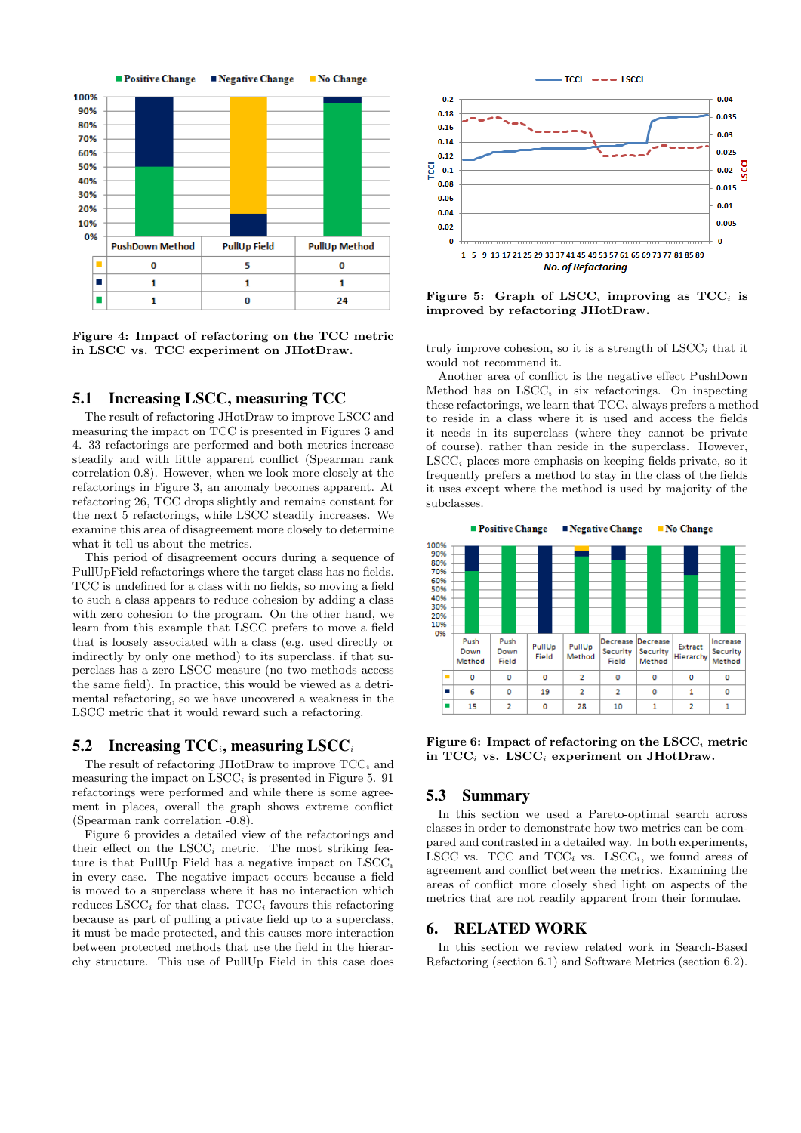

Figure 4: Impact of refactoring on the TCC metric in LSCC vs. TCC experiment on JHotDraw.

## 5.1 Increasing LSCC, measuring TCC

The result of refactoring JHotDraw to improve LSCC and measuring the impact on TCC is presented in Figures 3 and 4. 33 refactorings are performed and both metrics increase steadily and with little apparent conflict (Spearman rank correlation 0.8). However, when we look more closely at the refactorings in Figure 3, an anomaly becomes apparent. At refactoring 26, TCC drops slightly and remains constant for the next 5 refactorings, while LSCC steadily increases. We examine this area of disagreement more closely to determine what it tell us about the metrics.

This period of disagreement occurs during a sequence of PullUpField refactorings where the target class has no fields. TCC is undefined for a class with no fields, so moving a field to such a class appears to reduce cohesion by adding a class with zero cohesion to the program. On the other hand, we learn from this example that LSCC prefers to move a field that is loosely associated with a class (e.g. used directly or indirectly by only one method) to its superclass, if that superclass has a zero LSCC measure (no two methods access the same field). In practice, this would be viewed as a detrimental refactoring, so we have uncovered a weakness in the LSCC metric that it would reward such a refactoring.

## 5.2 Increasing  $TCC_i$ , measuring LSCC<sub>i</sub>

The result of refactoring JHotDraw to improve  $TCC_i$  and measuring the impact on  $\overline{\text{LSCC}}_i$  is presented in Figure 5. 91 refactorings were performed and while there is some agreement in places, overall the graph shows extreme conflict (Spearman rank correlation  $-0.8$ ).

Figure 6 provides a detailed view of the refactorings and their effect on the  $LSCC_i$  metric. The most striking feature is that PullUp Field has a negative impact on  $LSCC_i$ in every case. The negative impact occurs because a field is moved to a superclass where it has no interaction which reduces  $LSCC_i$  for that class.  $TCC_i$  favours this refactoring because as part of pulling a private field up to a superclass, it must be made protected, and this causes more interaction between protected methods that use the field in the hierarchy structure. This use of PullUp Field in this case does



Figure 5: Graph of  $LSCC_i$  improving as  $TCC_i$  is improved by refactoring JHotDraw.

truly improve cohesion, so it is a strength of  $LSCC<sub>i</sub>$  that it would not recommend it.

Another area of conflict is the negative effect PushDown Method has on  $LSCC<sub>i</sub>$  in six refactorings. On inspecting these refactorings, we learn that  $TCC_i$  always prefers a method to reside in a class where it is used and access the fields it needs in its superclass (where they cannot be private of course), rather than reside in the superclass. However,  $LSCC<sub>i</sub>$  places more emphasis on keeping fields private, so it frequently prefers a method to stay in the class of the fields it uses except where the method is used by majority of the subclasses.



Figure 6: Impact of refactoring on the  $\text{LSCC}_i$  metric in  $TCC_i$  vs.  $LSCC_i$  experiment on JHotDraw.

#### 5.3 Summary

In this section we used a Pareto-optimal search across classes in order to demonstrate how two metrics can be compared and contrasted in a detailed way. In both experiments, LSCC vs. TCC and  $TCC_i$  vs. LSCC<sub>i</sub>, we found areas of agreement and conflict between the metrics. Examining the areas of conflict more closely shed light on aspects of the metrics that are not readily apparent from their formulae.

### 6. RELATED WORK

In this section we review related work in Search-Based Refactoring (section 6.1) and Software Metrics (section 6.2).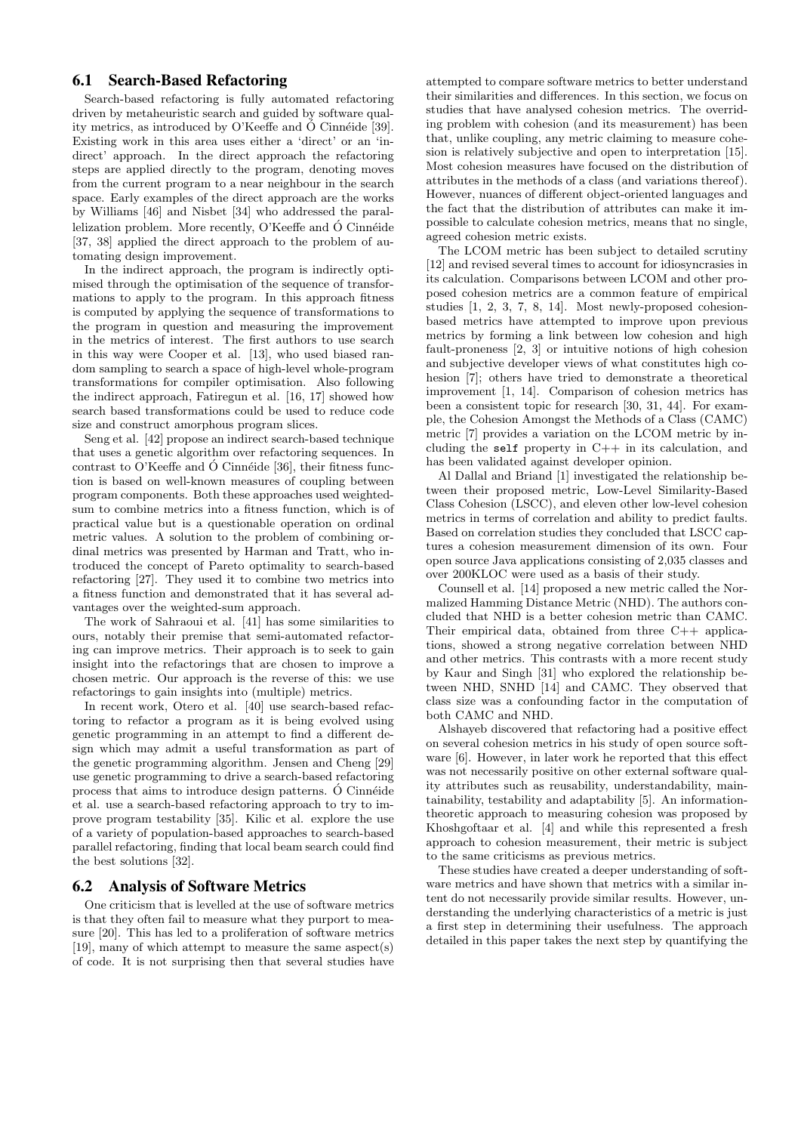## 6.1 Search-Based Refactoring

Search-based refactoring is fully automated refactoring driven by metaheuristic search and guided by software quality metrics, as introduced by  $O'$ Keeffe and  $\acute{O}$  Cinnéide [39]. Existing work in this area uses either a 'direct' or an 'indirect' approach. In the direct approach the refactoring steps are applied directly to the program, denoting moves from the current program to a near neighbour in the search space. Early examples of the direct approach are the works by Williams [46] and Nisbet [34] who addressed the parallelization problem. More recently, O'Keeffe and  $\acute{O}$  Cinnéide [37, 38] applied the direct approach to the problem of automating design improvement.

In the indirect approach, the program is indirectly optimised through the optimisation of the sequence of transformations to apply to the program. In this approach fitness is computed by applying the sequence of transformations to the program in question and measuring the improvement in the metrics of interest. The first authors to use search in this way were Cooper et al. [13], who used biased random sampling to search a space of high-level whole-program transformations for compiler optimisation. Also following the indirect approach, Fatiregun et al. [16, 17] showed how search based transformations could be used to reduce code size and construct amorphous program slices.

Seng et al. [42] propose an indirect search-based technique that uses a genetic algorithm over refactoring sequences. In contrast to O'Keeffe and  $\acute{O}$  Cinnéide [36], their fitness function is based on well-known measures of coupling between program components. Both these approaches used weightedsum to combine metrics into a fitness function, which is of practical value but is a questionable operation on ordinal metric values. A solution to the problem of combining ordinal metrics was presented by Harman and Tratt, who introduced the concept of Pareto optimality to search-based refactoring [27]. They used it to combine two metrics into a fitness function and demonstrated that it has several advantages over the weighted-sum approach.

The work of Sahraoui et al. [41] has some similarities to ours, notably their premise that semi-automated refactoring can improve metrics. Their approach is to seek to gain insight into the refactorings that are chosen to improve a chosen metric. Our approach is the reverse of this: we use refactorings to gain insights into (multiple) metrics.

In recent work, Otero et al. [40] use search-based refactoring to refactor a program as it is being evolved using genetic programming in an attempt to find a different design which may admit a useful transformation as part of the genetic programming algorithm. Jensen and Cheng [29] use genetic programming to drive a search-based refactoring process that aims to introduce design patterns. Ó Cinnéide et al. use a search-based refactoring approach to try to improve program testability [35]. Kilic et al. explore the use of a variety of population-based approaches to search-based parallel refactoring, finding that local beam search could find the best solutions [32].

# 6.2 Analysis of Software Metrics

One criticism that is levelled at the use of software metrics is that they often fail to measure what they purport to measure [20]. This has led to a proliferation of software metrics [19], many of which attempt to measure the same aspect(s) of code. It is not surprising then that several studies have

attempted to compare software metrics to better understand their similarities and differences. In this section, we focus on studies that have analysed cohesion metrics. The overriding problem with cohesion (and its measurement) has been that, unlike coupling, any metric claiming to measure cohesion is relatively subjective and open to interpretation [15]. Most cohesion measures have focused on the distribution of attributes in the methods of a class (and variations thereof). However, nuances of different object-oriented languages and the fact that the distribution of attributes can make it impossible to calculate cohesion metrics, means that no single, agreed cohesion metric exists.

The LCOM metric has been subject to detailed scrutiny [12] and revised several times to account for idiosyncrasies in its calculation. Comparisons between LCOM and other proposed cohesion metrics are a common feature of empirical studies [1, 2, 3, 7, 8, 14]. Most newly-proposed cohesionbased metrics have attempted to improve upon previous metrics by forming a link between low cohesion and high fault-proneness [2, 3] or intuitive notions of high cohesion and subjective developer views of what constitutes high cohesion [7]; others have tried to demonstrate a theoretical improvement [1, 14]. Comparison of cohesion metrics has been a consistent topic for research [30, 31, 44]. For example, the Cohesion Amongst the Methods of a Class (CAMC) metric [7] provides a variation on the LCOM metric by including the self property in  $C++$  in its calculation, and has been validated against developer opinion.

Al Dallal and Briand [1] investigated the relationship between their proposed metric, Low-Level Similarity-Based Class Cohesion (LSCC), and eleven other low-level cohesion metrics in terms of correlation and ability to predict faults. Based on correlation studies they concluded that LSCC captures a cohesion measurement dimension of its own. Four open source Java applications consisting of 2,035 classes and over 200KLOC were used as a basis of their study.

Counsell et al. [14] proposed a new metric called the Normalized Hamming Distance Metric (NHD). The authors concluded that NHD is a better cohesion metric than CAMC. Their empirical data, obtained from three  $C_{++}$  applications, showed a strong negative correlation between NHD and other metrics. This contrasts with a more recent study by Kaur and Singh [31] who explored the relationship between NHD, SNHD [14] and CAMC. They observed that class size was a confounding factor in the computation of both CAMC and NHD.

Alshayeb discovered that refactoring had a positive effect on several cohesion metrics in his study of open source software [6]. However, in later work he reported that this effect was not necessarily positive on other external software quality attributes such as reusability, understandability, maintainability, testability and adaptability [5]. An informationtheoretic approach to measuring cohesion was proposed by Khoshgoftaar et al. [4] and while this represented a fresh approach to cohesion measurement, their metric is subject to the same criticisms as previous metrics.

These studies have created a deeper understanding of software metrics and have shown that metrics with a similar intent do not necessarily provide similar results. However, understanding the underlying characteristics of a metric is just a first step in determining their usefulness. The approach detailed in this paper takes the next step by quantifying the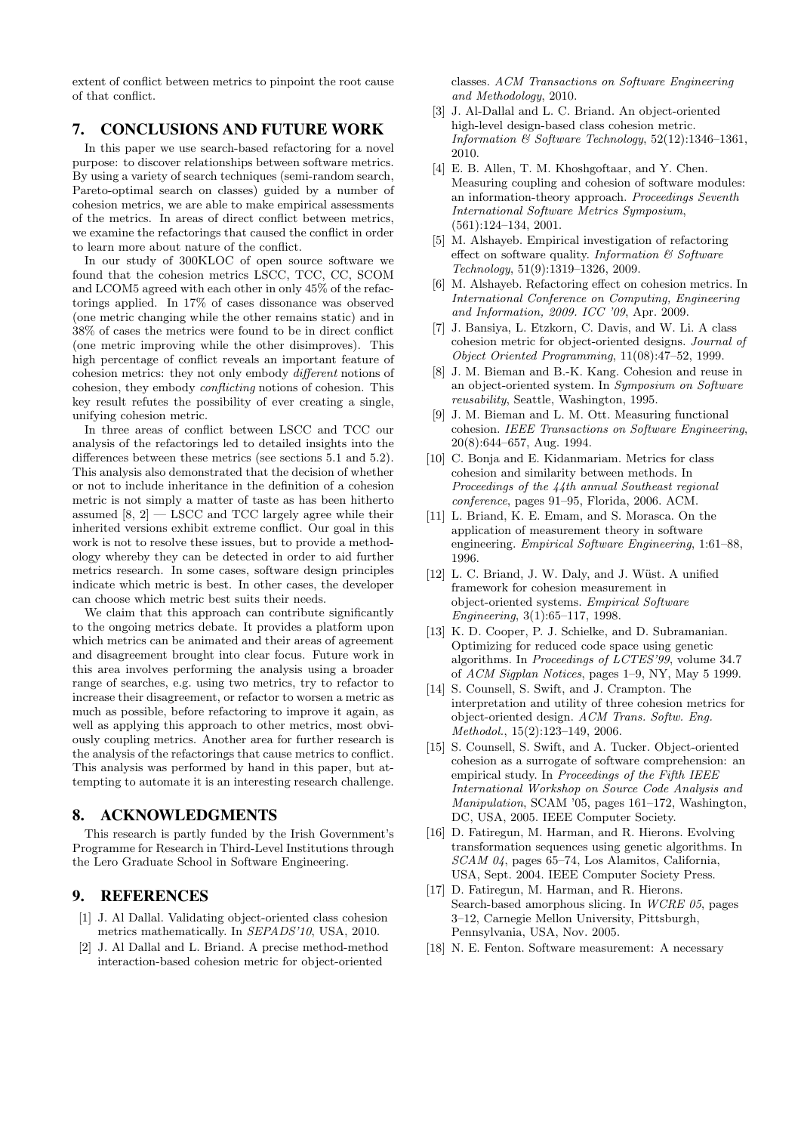extent of conflict between metrics to pinpoint the root cause of that conflict.

# 7. CONCLUSIONS AND FUTURE WORK

In this paper we use search-based refactoring for a novel purpose: to discover relationships between software metrics. By using a variety of search techniques (semi-random search, Pareto-optimal search on classes) guided by a number of cohesion metrics, we are able to make empirical assessments of the metrics. In areas of direct conflict between metrics, we examine the refactorings that caused the conflict in order to learn more about nature of the conflict.

In our study of 300KLOC of open source software we found that the cohesion metrics LSCC, TCC, CC, SCOM and LCOM5 agreed with each other in only 45% of the refactorings applied. In 17% of cases dissonance was observed (one metric changing while the other remains static) and in 38% of cases the metrics were found to be in direct conflict (one metric improving while the other disimproves). This high percentage of conflict reveals an important feature of cohesion metrics: they not only embody different notions of cohesion, they embody conflicting notions of cohesion. This key result refutes the possibility of ever creating a single, unifying cohesion metric.

In three areas of conflict between LSCC and TCC our analysis of the refactorings led to detailed insights into the differences between these metrics (see sections 5.1 and 5.2). This analysis also demonstrated that the decision of whether or not to include inheritance in the definition of a cohesion metric is not simply a matter of taste as has been hitherto assumed  $[8, 2]$  — LSCC and TCC largely agree while their inherited versions exhibit extreme conflict. Our goal in this work is not to resolve these issues, but to provide a methodology whereby they can be detected in order to aid further metrics research. In some cases, software design principles indicate which metric is best. In other cases, the developer can choose which metric best suits their needs.

We claim that this approach can contribute significantly to the ongoing metrics debate. It provides a platform upon which metrics can be animated and their areas of agreement and disagreement brought into clear focus. Future work in this area involves performing the analysis using a broader range of searches, e.g. using two metrics, try to refactor to increase their disagreement, or refactor to worsen a metric as much as possible, before refactoring to improve it again, as well as applying this approach to other metrics, most obviously coupling metrics. Another area for further research is the analysis of the refactorings that cause metrics to conflict. This analysis was performed by hand in this paper, but attempting to automate it is an interesting research challenge.

## 8. ACKNOWLEDGMENTS

This research is partly funded by the Irish Government's Programme for Research in Third-Level Institutions through the Lero Graduate School in Software Engineering.

# 9. REFERENCES

- [1] J. Al Dallal. Validating object-oriented class cohesion metrics mathematically. In SEPADS'10, USA, 2010.
- [2] J. Al Dallal and L. Briand. A precise method-method interaction-based cohesion metric for object-oriented

classes. ACM Transactions on Software Engineering and Methodology, 2010.

- [3] J. Al-Dallal and L. C. Briand. An object-oriented high-level design-based class cohesion metric. Information & Software Technology, 52(12):1346–1361, 2010.
- [4] E. B. Allen, T. M. Khoshgoftaar, and Y. Chen. Measuring coupling and cohesion of software modules: an information-theory approach. Proceedings Seventh International Software Metrics Symposium, (561):124–134, 2001.
- [5] M. Alshayeb. Empirical investigation of refactoring effect on software quality. Information  $\mathcal B$  Software Technology, 51(9):1319–1326, 2009.
- [6] M. Alshayeb. Refactoring effect on cohesion metrics. In International Conference on Computing, Engineering and Information, 2009. ICC '09, Apr. 2009.
- [7] J. Bansiya, L. Etzkorn, C. Davis, and W. Li. A class cohesion metric for object-oriented designs. Journal of Object Oriented Programming, 11(08):47–52, 1999.
- [8] J. M. Bieman and B.-K. Kang. Cohesion and reuse in an object-oriented system. In Symposium on Software reusability, Seattle, Washington, 1995.
- [9] J. M. Bieman and L. M. Ott. Measuring functional cohesion. IEEE Transactions on Software Engineering, 20(8):644–657, Aug. 1994.
- [10] C. Bonja and E. Kidanmariam. Metrics for class cohesion and similarity between methods. In Proceedings of the 44th annual Southeast regional conference, pages 91–95, Florida, 2006. ACM.
- [11] L. Briand, K. E. Emam, and S. Morasca. On the application of measurement theory in software engineering. Empirical Software Engineering, 1:61–88, 1996.
- $[12]$  L. C. Briand, J. W. Daly, and J. Wüst. A unified framework for cohesion measurement in object-oriented systems. Empirical Software Engineering, 3(1):65–117, 1998.
- [13] K. D. Cooper, P. J. Schielke, and D. Subramanian. Optimizing for reduced code space using genetic algorithms. In Proceedings of LCTES'99, volume 34.7 of ACM Sigplan Notices, pages 1–9, NY, May 5 1999.
- [14] S. Counsell, S. Swift, and J. Crampton. The interpretation and utility of three cohesion metrics for object-oriented design. ACM Trans. Softw. Eng. Methodol., 15(2):123–149, 2006.
- [15] S. Counsell, S. Swift, and A. Tucker. Object-oriented cohesion as a surrogate of software comprehension: an empirical study. In Proceedings of the Fifth IEEE International Workshop on Source Code Analysis and Manipulation, SCAM '05, pages 161–172, Washington, DC, USA, 2005. IEEE Computer Society.
- [16] D. Fatiregun, M. Harman, and R. Hierons. Evolving transformation sequences using genetic algorithms. In SCAM 04, pages 65–74, Los Alamitos, California, USA, Sept. 2004. IEEE Computer Society Press.
- [17] D. Fatiregun, M. Harman, and R. Hierons. Search-based amorphous slicing. In WCRE 05, pages 3–12, Carnegie Mellon University, Pittsburgh, Pennsylvania, USA, Nov. 2005.
- [18] N. E. Fenton. Software measurement: A necessary